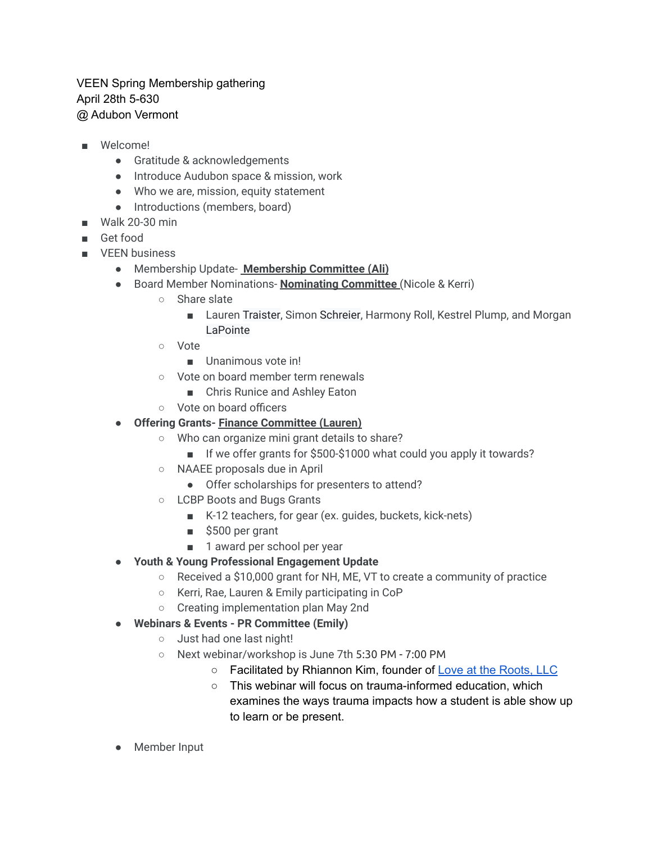## VEEN Spring Membership gathering April 28th 5-630 @ Adubon Vermont

- Welcome!
	- Gratitude & acknowledgements
	- Introduce Audubon space & mission, work
	- Who we are, mission, equity statement
	- Introductions (members, board)
- Walk 20-30 min
- Get food
- VEEN business
	- Membership Update- **Membership Committee (Ali)**
	- Board Member Nominations- **Nominating Committee** (Nicole & Kerri)
		- Share slate
			- Lauren Traister, Simon Schreier, Harmony Roll, Kestrel Plump, and Morgan LaPointe
		- Vote
			- Unanimous vote in<sup>1</sup>
		- Vote on board member term renewals
			- Chris Runice and Ashley Eaton
		- Vote on board officers
	- **Offering Grants- Finance Committee (Lauren)**
		- Who can organize mini grant details to share?
			- If we offer grants for \$500-\$1000 what could you apply it towards?
		- NAAEE proposals due in April
			- Offer scholarships for presenters to attend?
		- LCBP Boots and Bugs Grants
			- K-12 teachers, for gear (ex. guides, buckets, kick-nets)
			- \$500 per grant
			- 1 award per school per year
	- **● Youth & Young Professional Engagement Update**
		- Received a \$10,000 grant for NH, ME, VT to create a community of practice
		- Kerri, Rae, Lauren & Emily participating in CoP
		- Creating implementation plan May 2nd
	- **● Webinars & Events PR Committee (Emily)**
		- o Just had one last night!
		- Next webinar/workshop is June 7th 5:30 PM 7:00 PM
			- Facilitated by Rhiannon Kim, founder of Love at the [Roots,](https://www.rhiannonmkim.com/) LLC
			- This webinar will focus on trauma-informed education, which examines the ways trauma impacts how a student is able show up to learn or be present.
	- Member Input